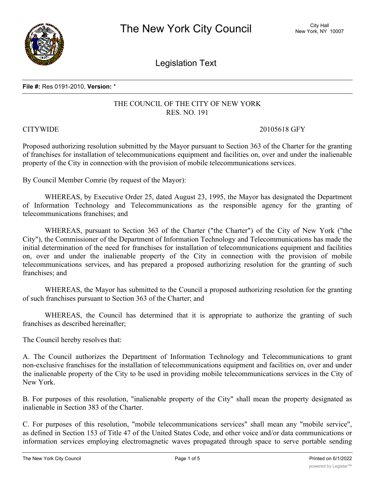

Legislation Text

#### **File #:** Res 0191-2010, **Version:** \*

# THE COUNCIL OF THE CITY OF NEW YORK RES. NO. 191

## CITYWIDE 20105618 GFY

Proposed authorizing resolution submitted by the Mayor pursuant to Section 363 of the Charter for the granting of franchises for installation of telecommunications equipment and facilities on, over and under the inalienable property of the City in connection with the provision of mobile telecommunications services.

By Council Member Comrie (by request of the Mayor):

WHEREAS, by Executive Order 25, dated August 23, 1995, the Mayor has designated the Department of Information Technology and Telecommunications as the responsible agency for the granting of telecommunications franchises; and

WHEREAS, pursuant to Section 363 of the Charter ("the Charter") of the City of New York ("the City"), the Commissioner of the Department of Information Technology and Telecommunications has made the initial determination of the need for franchises for installation of telecommunications equipment and facilities on, over and under the inalienable property of the City in connection with the provision of mobile telecommunications services, and has prepared a proposed authorizing resolution for the granting of such franchises; and

WHEREAS, the Mayor has submitted to the Council a proposed authorizing resolution for the granting of such franchises pursuant to Section 363 of the Charter; and

WHEREAS, the Council has determined that it is appropriate to authorize the granting of such franchises as described hereinafter;

The Council hereby resolves that:

A. The Council authorizes the Department of Information Technology and Telecommunications to grant non-exclusive franchises for the installation of telecommunications equipment and facilities on, over and under the inalienable property of the City to be used in providing mobile telecommunications services in the City of New York.

B. For purposes of this resolution, "inalienable property of the City" shall mean the property designated as inalienable in Section 383 of the Charter.

C. For purposes of this resolution, "mobile telecommunications services" shall mean any "mobile service", as defined in Section 153 of Title 47 of the United States Code, and other voice and/or data communications or information services employing electromagnetic waves propagated through space to serve portable sending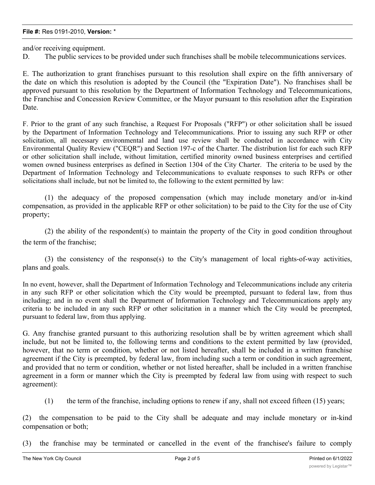and/or receiving equipment.

D. The public services to be provided under such franchises shall be mobile telecommunications services.

E. The authorization to grant franchises pursuant to this resolution shall expire on the fifth anniversary of the date on which this resolution is adopted by the Council (the "Expiration Date"). No franchises shall be approved pursuant to this resolution by the Department of Information Technology and Telecommunications, the Franchise and Concession Review Committee, or the Mayor pursuant to this resolution after the Expiration Date.

F. Prior to the grant of any such franchise, a Request For Proposals ("RFP") or other solicitation shall be issued by the Department of Information Technology and Telecommunications. Prior to issuing any such RFP or other solicitation, all necessary environmental and land use review shall be conducted in accordance with City Environmental Quality Review ("CEQR") and Section 197-c of the Charter. The distribution list for each such RFP or other solicitation shall include, without limitation, certified minority owned business enterprises and certified women owned business enterprises as defined in Section 1304 of the City Charter. The criteria to be used by the Department of Information Technology and Telecommunications to evaluate responses to such RFPs or other solicitations shall include, but not be limited to, the following to the extent permitted by law:

(1) the adequacy of the proposed compensation (which may include monetary and/or in-kind compensation, as provided in the applicable RFP or other solicitation) to be paid to the City for the use of City property;

(2) the ability of the respondent(s) to maintain the property of the City in good condition throughout the term of the franchise;

(3) the consistency of the response(s) to the City's management of local rights-of-way activities, plans and goals.

In no event, however, shall the Department of Information Technology and Telecommunications include any criteria in any such RFP or other solicitation which the City would be preempted, pursuant to federal law, from thus including; and in no event shall the Department of Information Technology and Telecommunications apply any criteria to be included in any such RFP or other solicitation in a manner which the City would be preempted, pursuant to federal law, from thus applying.

G. Any franchise granted pursuant to this authorizing resolution shall be by written agreement which shall include, but not be limited to, the following terms and conditions to the extent permitted by law (provided, however, that no term or condition, whether or not listed hereafter, shall be included in a written franchise agreement if the City is preempted, by federal law, from including such a term or condition in such agreement, and provided that no term or condition, whether or not listed hereafter, shall be included in a written franchise agreement in a form or manner which the City is preempted by federal law from using with respect to such agreement):

(1) the term of the franchise, including options to renew if any, shall not exceed fifteen (15) years;

(2) the compensation to be paid to the City shall be adequate and may include monetary or in-kind compensation or both;

(3) the franchise may be terminated or cancelled in the event of the franchisee's failure to comply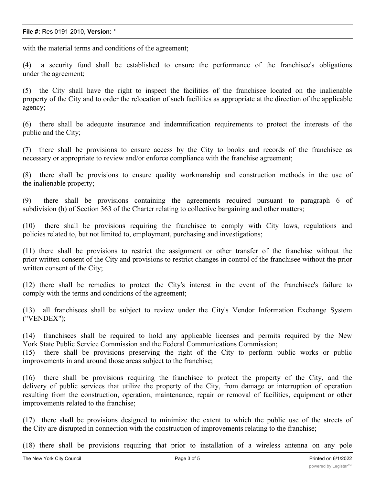### **File #:** Res 0191-2010, **Version:** \*

with the material terms and conditions of the agreement;

(4) a security fund shall be established to ensure the performance of the franchisee's obligations under the agreement;

(5) the City shall have the right to inspect the facilities of the franchisee located on the inalienable property of the City and to order the relocation of such facilities as appropriate at the direction of the applicable agency;

(6) there shall be adequate insurance and indemnification requirements to protect the interests of the public and the City;

(7) there shall be provisions to ensure access by the City to books and records of the franchisee as necessary or appropriate to review and/or enforce compliance with the franchise agreement;

(8) there shall be provisions to ensure quality workmanship and construction methods in the use of the inalienable property;

(9) there shall be provisions containing the agreements required pursuant to paragraph 6 of subdivision (h) of Section 363 of the Charter relating to collective bargaining and other matters;

(10) there shall be provisions requiring the franchisee to comply with City laws, regulations and policies related to, but not limited to, employment, purchasing and investigations;

(11) there shall be provisions to restrict the assignment or other transfer of the franchise without the prior written consent of the City and provisions to restrict changes in control of the franchisee without the prior written consent of the City;

(12) there shall be remedies to protect the City's interest in the event of the franchisee's failure to comply with the terms and conditions of the agreement;

(13) all franchisees shall be subject to review under the City's Vendor Information Exchange System ("VENDEX");

(14) franchisees shall be required to hold any applicable licenses and permits required by the New York State Public Service Commission and the Federal Communications Commission;

(15) there shall be provisions preserving the right of the City to perform public works or public improvements in and around those areas subject to the franchise;

(16) there shall be provisions requiring the franchisee to protect the property of the City, and the delivery of public services that utilize the property of the City, from damage or interruption of operation resulting from the construction, operation, maintenance, repair or removal of facilities, equipment or other improvements related to the franchise;

(17) there shall be provisions designed to minimize the extent to which the public use of the streets of the City are disrupted in connection with the construction of improvements relating to the franchise;

(18) there shall be provisions requiring that prior to installation of a wireless antenna on any pole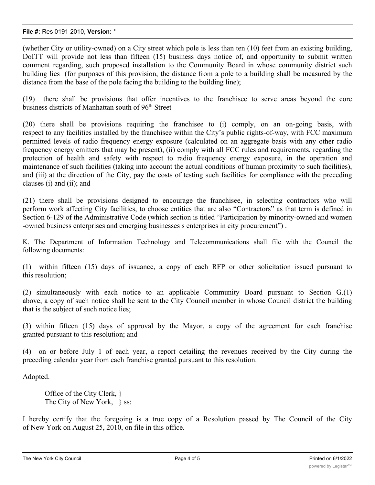### **File #:** Res 0191-2010, **Version:** \*

(whether City or utility-owned) on a City street which pole is less than ten (10) feet from an existing building, DoITT will provide not less than fifteen (15) business days notice of, and opportunity to submit written comment regarding, such proposed installation to the Community Board in whose community district such building lies (for purposes of this provision, the distance from a pole to a building shall be measured by the distance from the base of the pole facing the building to the building line);

(19) there shall be provisions that offer incentives to the franchisee to serve areas beyond the core business districts of Manhattan south of 96<sup>th</sup> Street

(20) there shall be provisions requiring the franchisee to (i) comply, on an on-going basis, with respect to any facilities installed by the franchisee within the City's public rights-of-way, with FCC maximum permitted levels of radio frequency energy exposure (calculated on an aggregate basis with any other radio frequency energy emitters that may be present), (ii) comply with all FCC rules and requirements, regarding the protection of health and safety with respect to radio frequency energy exposure, in the operation and maintenance of such facilities (taking into account the actual conditions of human proximity to such facilities), and (iii) at the direction of the City, pay the costs of testing such facilities for compliance with the preceding clauses (i) and (ii); and

(21) there shall be provisions designed to encourage the franchisee, in selecting contractors who will perform work affecting City facilities, to choose entities that are also "Contractors" as that term is defined in Section 6-129 of the Administrative Code (which section is titled "Participation by minority-owned and women -owned business enterprises and emerging businesses s enterprises in city procurement") .

K. The Department of Information Technology and Telecommunications shall file with the Council the following documents:

(1) within fifteen (15) days of issuance, a copy of each RFP or other solicitation issued pursuant to this resolution;

(2) simultaneously with each notice to an applicable Community Board pursuant to Section G.(1) above, a copy of such notice shall be sent to the City Council member in whose Council district the building that is the subject of such notice lies;

(3) within fifteen (15) days of approval by the Mayor, a copy of the agreement for each franchise granted pursuant to this resolution; and

(4) on or before July 1 of each year, a report detailing the revenues received by the City during the preceding calendar year from each franchise granted pursuant to this resolution.

Adopted.

Office of the City Clerk, } The City of New York, \, \, ss:

I hereby certify that the foregoing is a true copy of a Resolution passed by The Council of the City of New York on August 25, 2010, on file in this office.